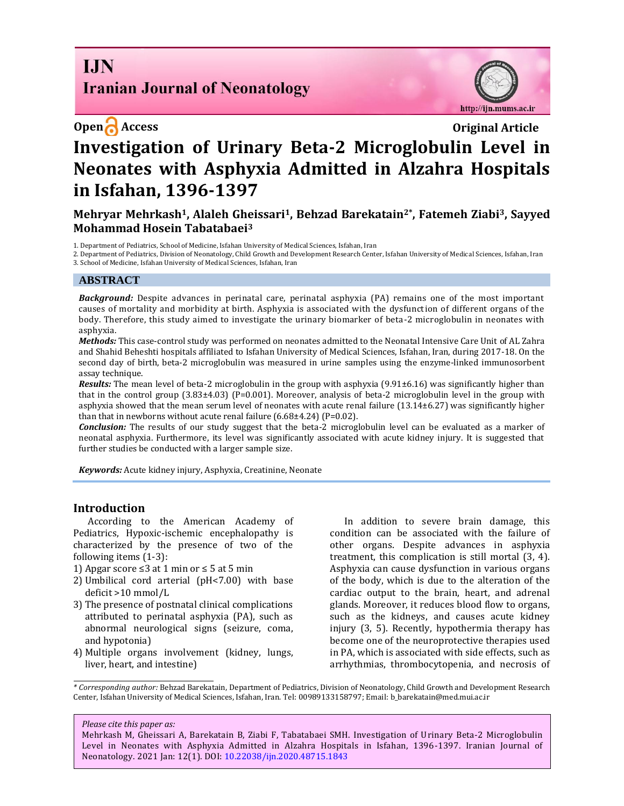# **I.IN Iranian Journal of Neonatology**

http://ijn.mums.ac.ir

# **Open Access Original Article Investigation of Urinary Beta-2 Microglobulin Level in Neonates with Asphyxia Admitted in Alzahra Hospitals in Isfahan, 1396-1397**

### **Mehryar Mehrkash1, Alaleh Gheissari1, Behzad Barekatain2\*, Fatemeh Ziabi3, Sayyed Mohammad Hosein Tabatabaei<sup>3</sup>**

1. Department of Pediatrics, School of Medicine, Isfahan University of Medical Sciences, Isfahan, Iran

2. Department of Pediatrics, Division of Neonatology, Child Growth and Development Research Center, Isfahan University of Medical Sciences, Isfahan, Iran 3. School of Medicine, Isfahan University of Medical Sciences, Isfahan, Iran

#### **ABSTRACT**

*Background:* Despite advances in perinatal care, perinatal asphyxia (PA) remains one of the most important causes of mortality and morbidity at birth. Asphyxia is associated with the dysfunction of different organs of the body. Therefore, this study aimed to investigate the urinary biomarker of beta-2 microglobulin in neonates with asphyxia.

*Methods:* This case-control study was performed on neonates admitted to the Neonatal Intensive Care Unit of AL Zahra and Shahid Beheshti hospitals affiliated to Isfahan University of Medical Sciences, Isfahan, Iran, during 2017-18. On the second day of birth, beta-2 microglobulin was measured in urine samples using the enzyme-linked immunosorbent assay technique.

*Results:* The mean level of beta-2 microglobulin in the group with asphyxia (9.91±6.16) was significantly higher than that in the control group  $(3.83\pm4.03)$  (P=0.001). Moreover, analysis of beta-2 microglobulin level in the group with asphyxia showed that the mean serum level of neonates with acute renal failure  $(13.14\pm6.27)$  was significantly higher than that in newborns without acute renal failure  $(6.68\pm4.24)$  (P=0.02).

*Conclusion:* The results of our study suggest that the beta-2 microglobulin level can be evaluated as a marker of neonatal asphyxia. Furthermore, its level was significantly associated with acute kidney injury. It is suggested that further studies be conducted with a larger sample size.

*Keywords:* Acute kidney injury, Asphyxia, Creatinine, Neonate

#### **Introduction**

According to the American Academy of Pediatrics, Hypoxic-ischemic encephalopathy is characterized by the presence of two of the following items (1-3):

1) Apgar score  $\leq$ 3 at 1 min or  $\leq$  5 at 5 min

- 2) Umbilical cord arterial (pH<7.00) with base deficit >10 mmol/L
- 3) The presence of postnatal clinical complications attributed to perinatal asphyxia (PA), such as abnormal neurological signs (seizure, coma, and hypotonia)
- 4) Multiple organs involvement (kidney, lungs, liver, heart, and intestine)

In addition to severe brain damage, this condition can be associated with the failure of other organs. Despite advances in asphyxia treatment, this complication is still mortal (3, 4). Asphyxia can cause dysfunction in various organs of the body, which is due to the alteration of the cardiac output to the brain, heart, and adrenal glands. Moreover, it reduces blood flow to organs, such as the kidneys, and causes acute kidney injury (3, 5). Recently, hypothermia therapy has become one of the neuroprotective therapies used in PA, which is associated with side effects, such as arrhythmias, thrombocytopenia, and necrosis of

*\* Corresponding author:* Behzad Barekatain, Department of Pediatrics, Division of Neonatology, Child Growth and Development Research Center, Isfahan University of Medical Sciences, Isfahan, Iran. Tel: 00989133158797; Email: b\_barekatain@med.mui.ac.ir

#### *Please cite this paper as:*

Mehrkash M, Gheissari A, Barekatain B, Ziabi F, Tabatabaei SMH. Investigation of Urinary Beta-2 Microglobulin Level in Neonates with Asphyxia Admitted in Alzahra Hospitals in Isfahan, 1396-1397. Iranian Journal of Neonatology. 2021 Jan: 12(1). DOI[: 10.22038/ijn.2020.48715.1843](https://ijn.mums.ac.ir/)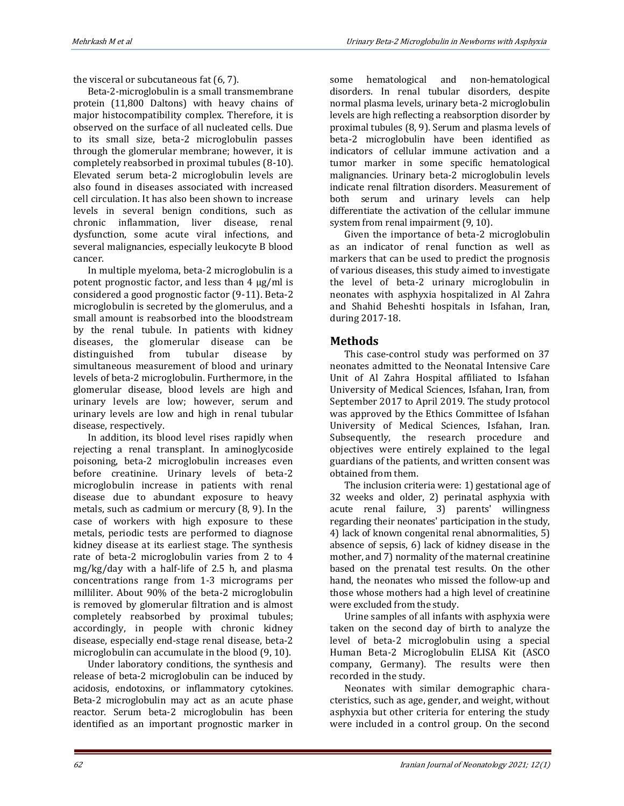the visceral or subcutaneous fat (6, 7).

Beta-2-microglobulin is a small transmembrane protein (11,800 Daltons) with heavy chains of major histocompatibility complex. Therefore, it is observed on the surface of all nucleated cells. Due to its small size, beta-2 microglobulin passes through the glomerular membrane; however, it is completely reabsorbed in proximal tubules (8-10). Elevated serum beta-2 microglobulin levels are also found in diseases associated with increased cell circulation. It has also been shown to increase levels in several benign conditions, such as chronic inflammation, liver disease, renal dysfunction, some acute viral infections, and several malignancies, especially leukocyte B blood cancer.

In multiple myeloma, beta-2 microglobulin is a potent prognostic factor, and less than 4 μg/ml is considered a good prognostic factor (9-11). Beta-2 microglobulin is secreted by the glomerulus, and a small amount is reabsorbed into the bloodstream by the renal tubule. In patients with kidney diseases, the glomerular disease can be distinguished from tubular disease by simultaneous measurement of blood and urinary levels of beta-2 microglobulin. Furthermore, in the glomerular disease, blood levels are high and urinary levels are low; however, serum and urinary levels are low and high in renal tubular disease, respectively.

In addition, its blood level rises rapidly when rejecting a renal transplant. In aminoglycoside poisoning, beta-2 microglobulin increases even before creatinine. Urinary levels of beta-2 microglobulin increase in patients with renal disease due to abundant exposure to heavy metals, such as cadmium or mercury (8, 9). In the case of workers with high exposure to these metals, periodic tests are performed to diagnose kidney disease at its earliest stage. The synthesis rate of beta-2 microglobulin varies from 2 to 4 mg/kg/day with a half-life of 2.5 h, and plasma concentrations range from 1-3 micrograms per milliliter. About 90% of the beta-2 microglobulin is removed by glomerular filtration and is almost completely reabsorbed by proximal tubules; accordingly, in people with chronic kidney disease, especially end-stage renal disease, beta-2 microglobulin can accumulate in the blood (9, 10).

Under laboratory conditions, the synthesis and release of beta-2 microglobulin can be induced by acidosis, endotoxins, or inflammatory cytokines. Beta-2 microglobulin may act as an acute phase reactor. Serum beta-2 microglobulin has been identified as an important prognostic marker in some hematological and non-hematological disorders. In renal tubular disorders, despite normal plasma levels, urinary beta-2 microglobulin levels are high reflecting a reabsorption disorder by proximal tubules (8, 9). Serum and plasma levels of beta-2 microglobulin have been identified as indicators of cellular immune activation and a tumor marker in some specific hematological malignancies. Urinary beta-2 microglobulin levels indicate renal filtration disorders. Measurement of both serum and urinary levels can help differentiate the activation of the cellular immune system from renal impairment (9, 10).

Given the importance of beta-2 microglobulin as an indicator of renal function as well as markers that can be used to predict the prognosis of various diseases, this study aimed to investigate the level of beta-2 urinary microglobulin in neonates with asphyxia hospitalized in Al Zahra and Shahid Beheshti hospitals in Isfahan, Iran, during 2017-18.

## **Methods**

This case-control study was performed on 37 neonates admitted to the Neonatal Intensive Care Unit of Al Zahra Hospital affiliated to Isfahan University of Medical Sciences, Isfahan, Iran, from September 2017 to April 2019. The study protocol was approved by the Ethics Committee of Isfahan University of Medical Sciences, Isfahan, Iran. Subsequently, the research procedure and objectives were entirely explained to the legal guardians of the patients, and written consent was obtained from them.

The inclusion criteria were: 1) gestational age of 32 weeks and older, 2) perinatal asphyxia with acute renal failure, 3) parents' willingness regarding their neonates' participation in the study, 4) lack of known congenital renal abnormalities, 5) absence of sepsis, 6) lack of kidney disease in the mother, and 7) normality of the maternal creatinine based on the prenatal test results. On the other hand, the neonates who missed the follow-up and those whose mothers had a high level of creatinine were excluded from the study.

Urine samples of all infants with asphyxia were taken on the second day of birth to analyze the level of beta-2 microglobulin using a special Human Beta-2 Microglobulin ELISA Kit (ASCO company, Germany). The results were then recorded in the study.

Neonates with similar demographic characteristics, such as age, gender, and weight, without asphyxia but other criteria for entering the study were included in a control group. On the second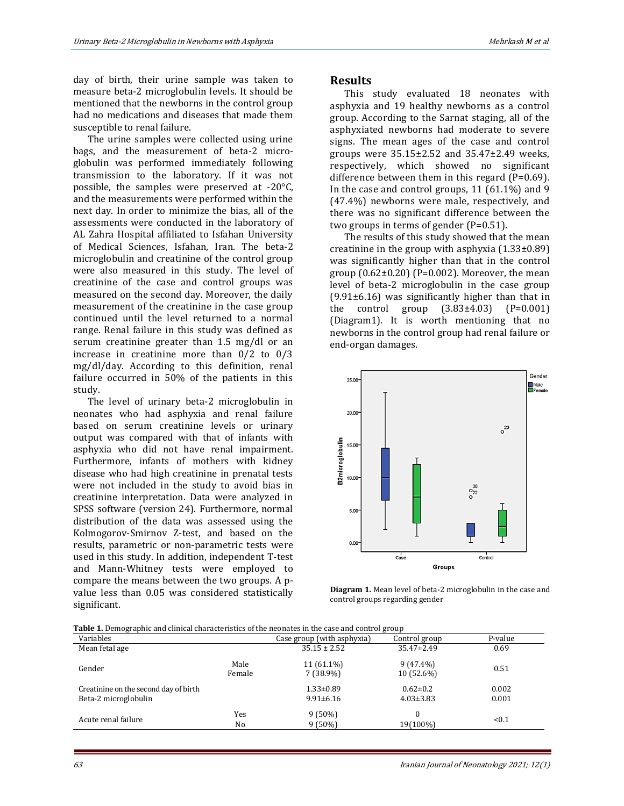day of birth, their urine sample was taken to measure beta-2 microglobulin levels. It should be mentioned that the newborns in the control group had no medications and diseases that made them susceptible to renal failure.

The urine samples were collected using urine bags, and the measurement of beta-2 microglobulin was performed immediately following transmission to the laboratory. If it was not possible, the samples were preserved at -20°C, and the measurements were performed within the next day. In order to minimize the bias, all of the assessments were conducted in the laboratory of AL Zahra Hospital affiliated to Isfahan University of Medical Sciences, Isfahan, Iran. The beta-2 microglobulin and creatinine of the control group were also measured in this study. The level of creatinine of the case and control groups was measured on the second day. Moreover, the daily measurement of the creatinine in the case group continued until the level returned to a normal range. Renal failure in this study was defined as serum creatinine greater than 1.5 mg/dl or an increase in creatinine more than 0/2 to 0/3 mg/dl/day. According to this definition, renal failure occurred in 50% of the patients in this study.

The level of urinary beta-2 microglobulin in neonates who had asphyxia and renal failure based on serum creatinine levels or urinary output was compared with that of infants with asphyxia who did not have renal impairment. Furthermore, infants of mothers with kidney disease who had high creatinine in prenatal tests were not included in the study to avoid bias in creatinine interpretation. Data were analyzed in SPSS software (version 24). Furthermore, normal distribution of the data was assessed using the Kolmogorov-Smirnov Z-test, and based on the results, parametric or non-parametric tests were used in this study. In addition, independent T-test and Mann-Whitney tests were employed to compare the means between the two groups. A pvalue less than 0.05 was considered statistically significant.

#### **Results**

This study evaluated 18 neonates with asphyxia and 19 healthy newborns as a control group. According to the Sarnat staging, all of the asphyxiated newborns had moderate to severe signs. The mean ages of the case and control groups were 35.15±2.52 and 35.47±2.49 weeks, respectively, which showed no significant difference between them in this regard (P=0.69). In the case and control groups, 11 (61.1%) and 9 (47.4%) newborns were male, respectively, and there was no significant difference between the two groups in terms of gender (P=0.51).

The results of this study showed that the mean creatinine in the group with asphyxia  $(1.33\pm0.89)$ was significantly higher than that in the control group  $(0.62\pm0.20)$  (P=0.002). Moreover, the mean level of beta-2 microglobulin in the case group  $(9.91±6.16)$  was significantly higher than that in the control group  $(3.83 \pm 4.03)$   $(P=0.001)$ (Diagram1). It is worth mentioning that no newborns in the control group had renal failure or end-organ damages.



**Diagram 1.** Mean level of beta-2 microglobulin in the case and control groups regarding gender

|  | <b>Table 1.</b> Demographic and clinical characteristics of the neonates in the case and control group |
|--|--------------------------------------------------------------------------------------------------------|

| Variables                                                     |                | Case group (with asphyxia)         | Control group                     | P-value        |
|---------------------------------------------------------------|----------------|------------------------------------|-----------------------------------|----------------|
| Mean fetal age                                                |                | $35.15 \pm 2.52$                   | $35.47 \pm 2.49$                  | 0.69           |
| Gender                                                        | Male<br>Female | $11(61.1\%)$<br>7 (38.9%)          | $9(47.4\%)$<br>10 (52.6%)         | 0.51           |
| Creatinine on the second day of birth<br>Beta-2 microglobulin |                | $1.33 \pm 0.89$<br>$9.91 \pm 6.16$ | $0.62 \pm 0.2$<br>$4.03 \pm 3.83$ | 0.002<br>0.001 |
| Acute renal failure                                           | Yes<br>No      | $9(50\%)$<br>$9(50\%)$             | 19(100%)                          | < 0.1          |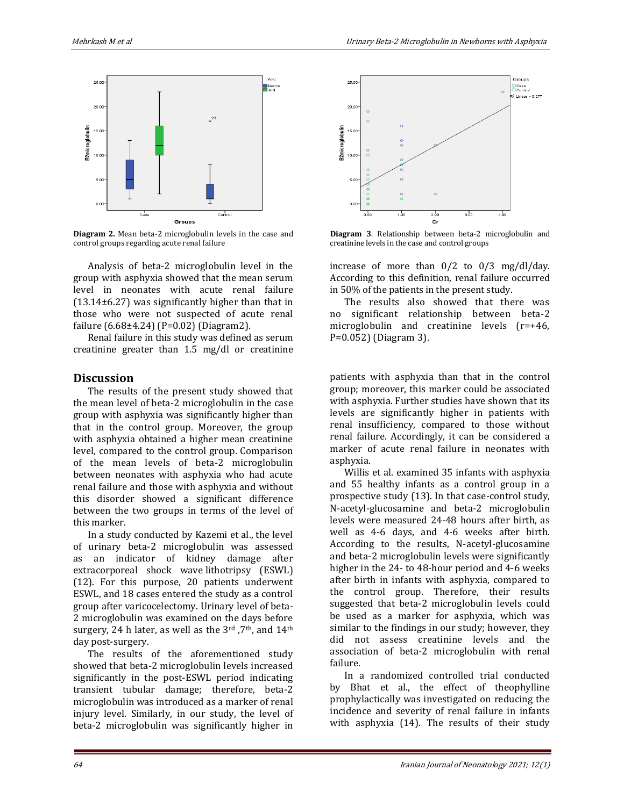

**Diagram 2.** Mean beta-2 microglobulin levels in the case and control groups regarding acute renal failure

Analysis of beta-2 microglobulin level in the group with asphyxia showed that the mean serum level in neonates with acute renal failure (13.14±6.27) was significantly higher than that in those who were not suspected of acute renal failure (6.68±4.24) (P=0.02) (Diagram2).

Renal failure in this study was defined as serum creatinine greater than 1.5 mg/dl or creatinine

#### **Discussion**

The results of the present study showed that the mean level of beta-2 microglobulin in the case group with asphyxia was significantly higher than that in the control group. Moreover, the group with asphyxia obtained a higher mean creatinine level, compared to the control group. Comparison of the mean levels of beta-2 microglobulin between neonates with asphyxia who had acute renal failure and those with asphyxia and without this disorder showed a significant difference between the two groups in terms of the level of this marker.

In a study conducted by Kazemi et al., the level of urinary beta-2 microglobulin was assessed as an indicator of kidney damage after extracorporeal shock wave lithotripsy (ESWL) (12). For this purpose, 20 patients underwent ESWL, and 18 cases entered the study as a control group after varicocelectomy. Urinary level of beta-2 microglobulin was examined on the days before surgery, 24 h later, as well as the 3rd ,7th, and 14th day post-surgery.

The results of the aforementioned study showed that beta-2 microglobulin levels increased significantly in the post-ESWL period indicating transient tubular damage; therefore, beta-2 microglobulin was introduced as a marker of renal injury level. Similarly, in our study, the level of beta-2 microglobulin was significantly higher in



**Diagram 3**. Relationship between beta-2 microglobulin and creatinine levels in the case and control groups

increase of more than 0/2 to 0/3 mg/dl/day. According to this definition, renal failure occurred in 50% of the patients in the present study.

The results also showed that there was no significant relationship between beta-2 microglobulin and creatinine levels (r=+46, P=0.052) (Diagram 3).

patients with asphyxia than that in the control group; moreover, this marker could be associated with asphyxia. Further studies have shown that its levels are significantly higher in patients with renal insufficiency, compared to those without renal failure. Accordingly, it can be considered a marker of acute renal failure in neonates with asphyxia.

Willis et al. examined 35 infants with asphyxia and 55 healthy infants as a control group in a prospective study (13). In that case-control study, N-acetyl-glucosamine and beta-2 microglobulin levels were measured 24-48 hours after birth, as well as 4-6 days, and 4-6 weeks after birth. According to the results, N-acetyl-glucosamine and beta-2 microglobulin levels were significantly higher in the 24- to 48-hour period and 4-6 weeks after birth in infants with asphyxia, compared to the control group. Therefore, their results suggested that beta-2 microglobulin levels could be used as a marker for asphyxia, which was similar to the findings in our study; however, they did not assess creatinine levels and the association of beta-2 microglobulin with renal failure.

In a randomized controlled trial conducted by Bhat et al., the effect of theophylline prophylactically was investigated on reducing the incidence and severity of renal failure in infants with asphyxia (14). The results of their study